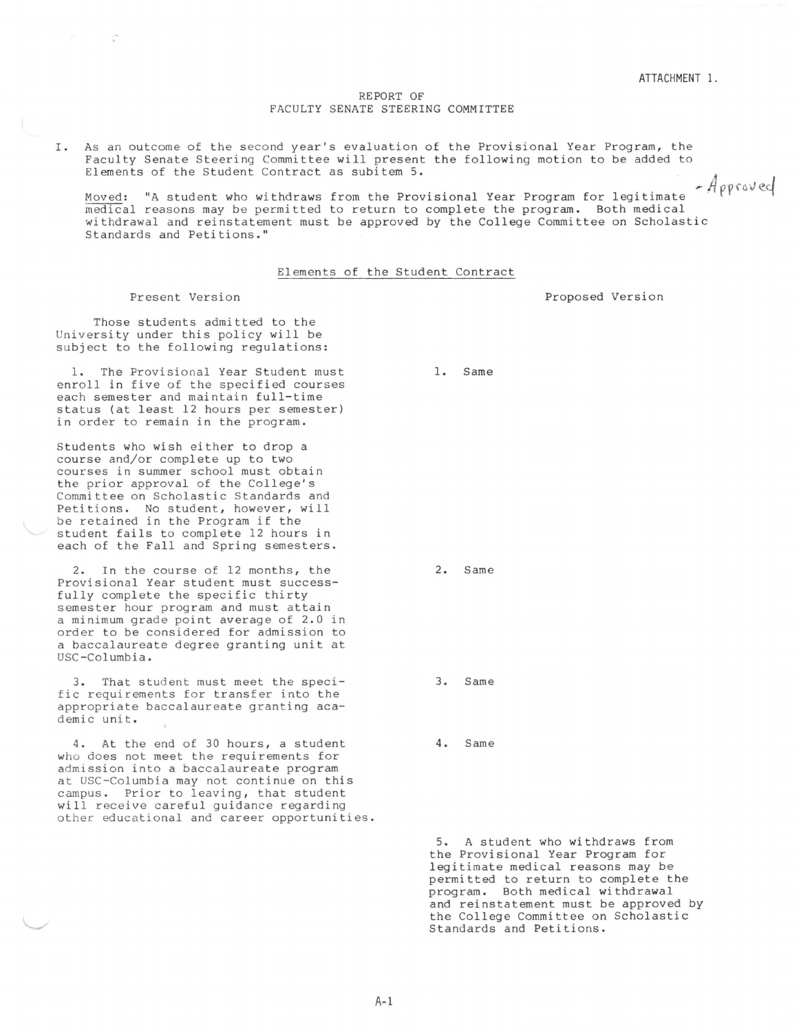## REPORT OF FACULTY SENATE STEERING COMMITTEE

I. As an outcome of the second year's evaluation of the Provisional Year Program, the Faculty Senate Steering Committee will present the following motion to be added to Elements of the Student Contract as subitem 5. · *A* 

Moved: "A student who withdraws from the Provisional Year Program for legitimate  $A$ pproved medical reasons may be permitted to return to complete the program. Both medical withdrawal and reinstatement must be approved by the College Committee on Scholastic Standards and Petitions."

## Elements of the Student Contract

## Present Version

Those students admitted to the University under this policy will be subject to the following regulations:

1. The Provisional Year Student must enroll in five of the specified courses each semester and maintain full-time status (at least 12 hours per semester) in order to remain in the program.

Students who wish either to drop a course and/or complete up to two courses in summer school must obtain the prior approval of the College's Committee on Scholastic Standards and Petitions. No student, however, will be retained in the Program if the student fails to complete 12 hours in each of the Fall and Spring semesters.

2. In the course of 12 months, the Provisional Year student must successfully complete the specific thirty semester hour program and must attain a minimum grade point average of 2.0 in order to be considered for admission to a baccalaureate degree granting unit at USC-Columbia.

3. That student must meet the specific requirements for transfer into the appropriate baccalaureate granting academic unit.

4. At the end of 30 hours, a student who does not meet the requirements for admission into a baccalaureate program at USC-Columbia may not continue on this campus. Prior to leaving, that student will receive careful guidance regarding other educational and career opportunities.

Proposed Version

2. Same

1. Same

3. Same

4. Same

5. A student who withdraws from the Provisional Year Program for legitimate medical reasons may be permitted to return to complete the program. Both medical withdrawal and reinstatement must be approved by the College Committee on Scholastic Standards and Petitions.